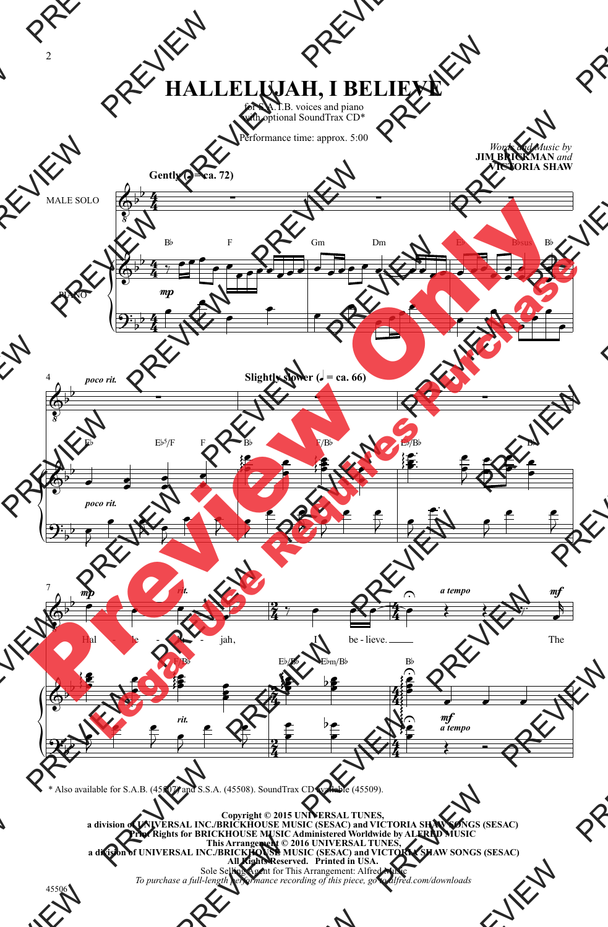## **HALLELUJAH, I BELIEVE**

for S.A.T.B. voices and piano with optional SoundTrax CD<sup>\*</sup>

Performance time: approx. 5:00

*Words and Music by* **JIM BRICKMAN** *and* **VICTORIA SHAW**



\* Also available for S.A.B. (45507) and S.S.A. (45508). SoundTrax CD available (45509).

Copyright © 2015 UNIVERSAL TUNES,<br>a division of UNIVERSAL INC./BRICKHOUSE MUSIC (SESAC) and VICTORIA SHAW SONGS (SESAC)<br>Print Rights for BRICKHOUSE MUSIC Administered Worldwide by ALFRED MUSIC<br>This Arrangement © 2016 UNIVE Sole Selling Agent for This Arrangement: Alfred Music *To purchase a full-length performance recording of this piece, go to alfred.com/downloads*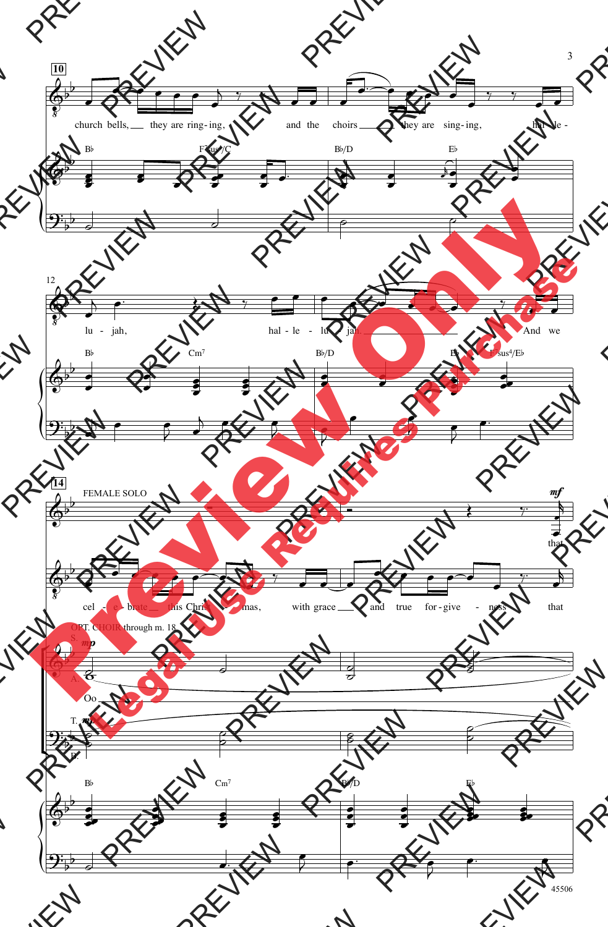

45506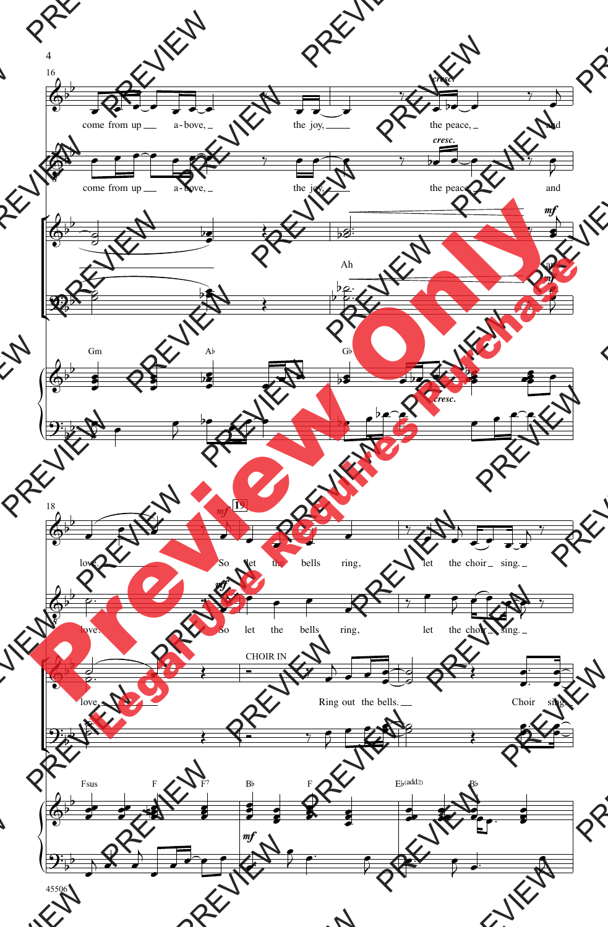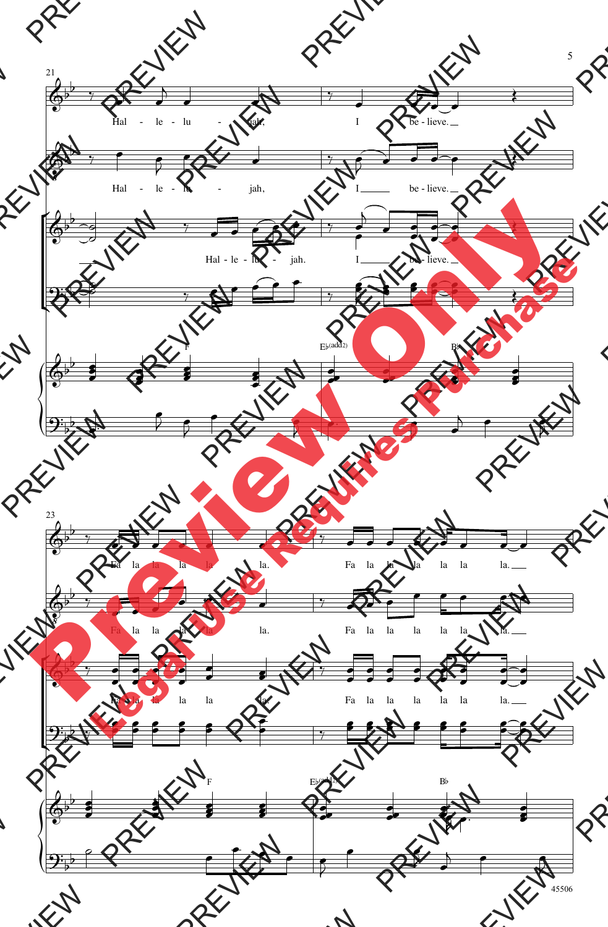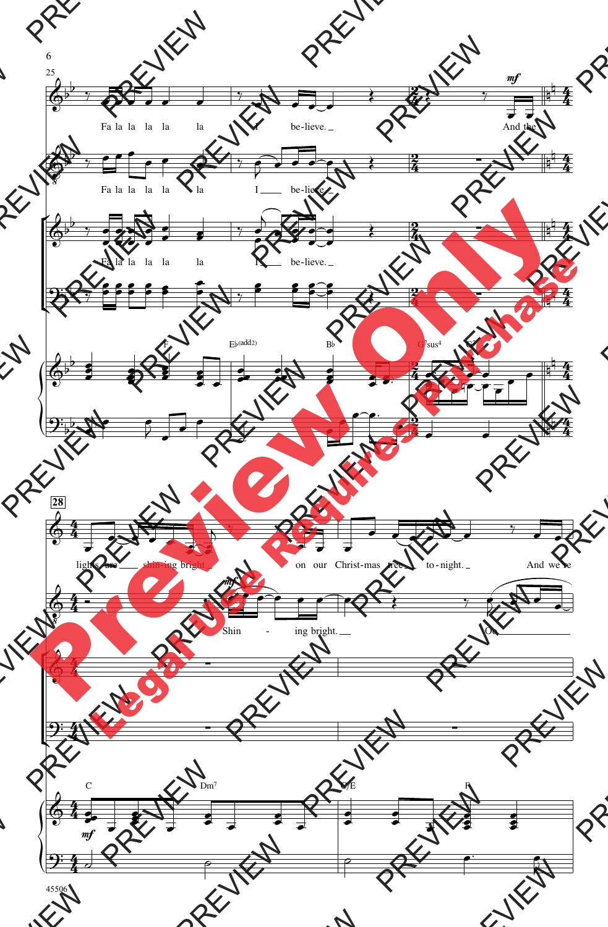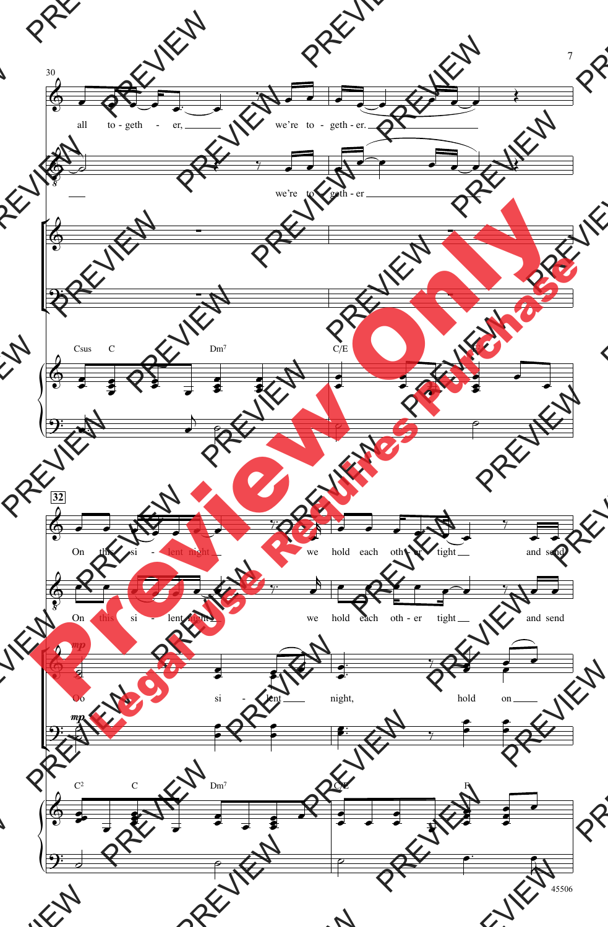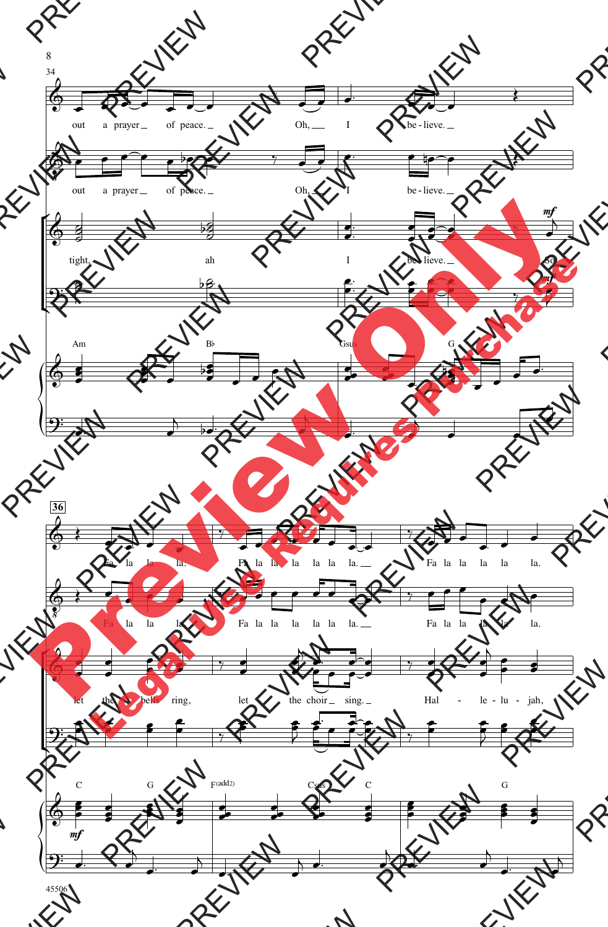![](_page_6_Figure_0.jpeg)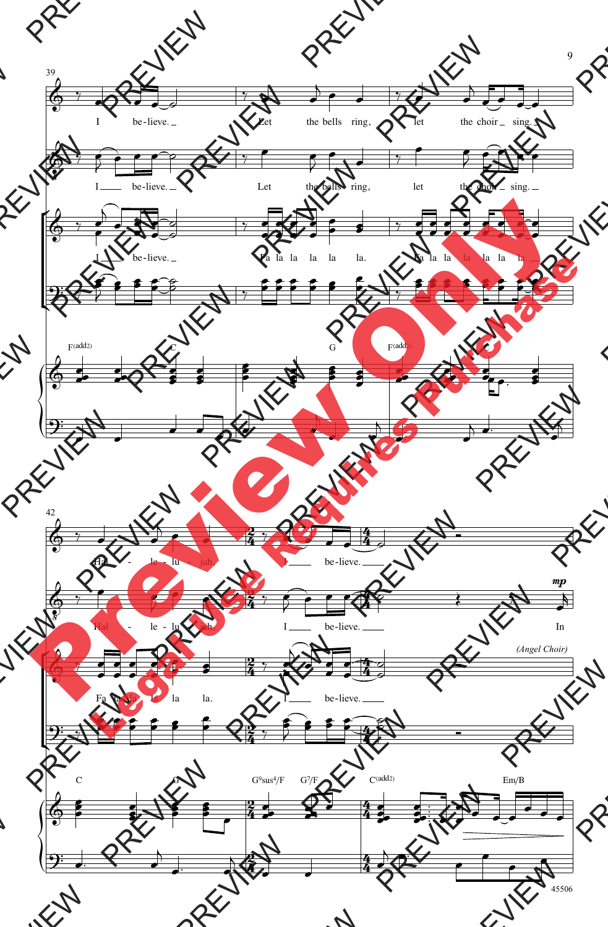![](_page_7_Figure_0.jpeg)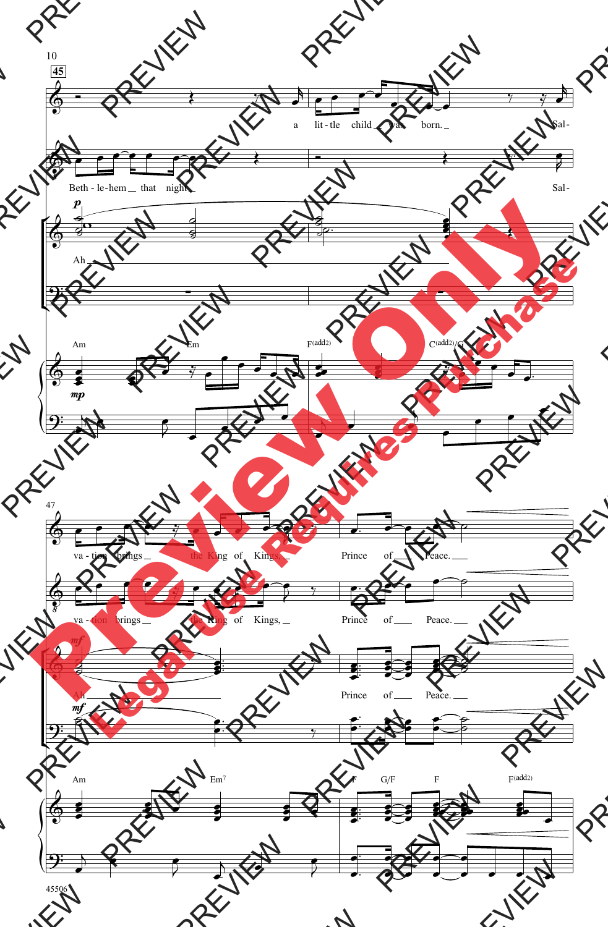![](_page_8_Figure_0.jpeg)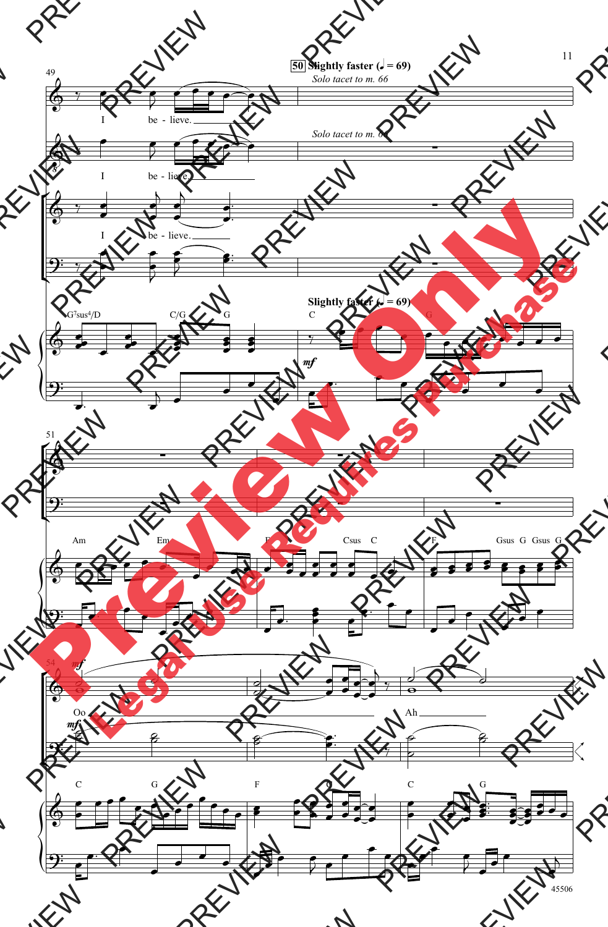![](_page_9_Figure_0.jpeg)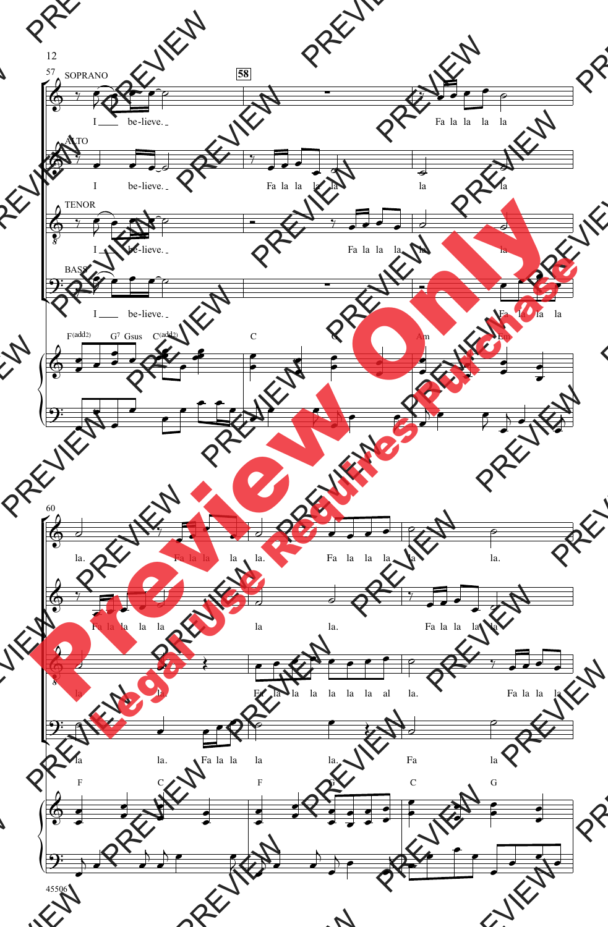![](_page_10_Figure_0.jpeg)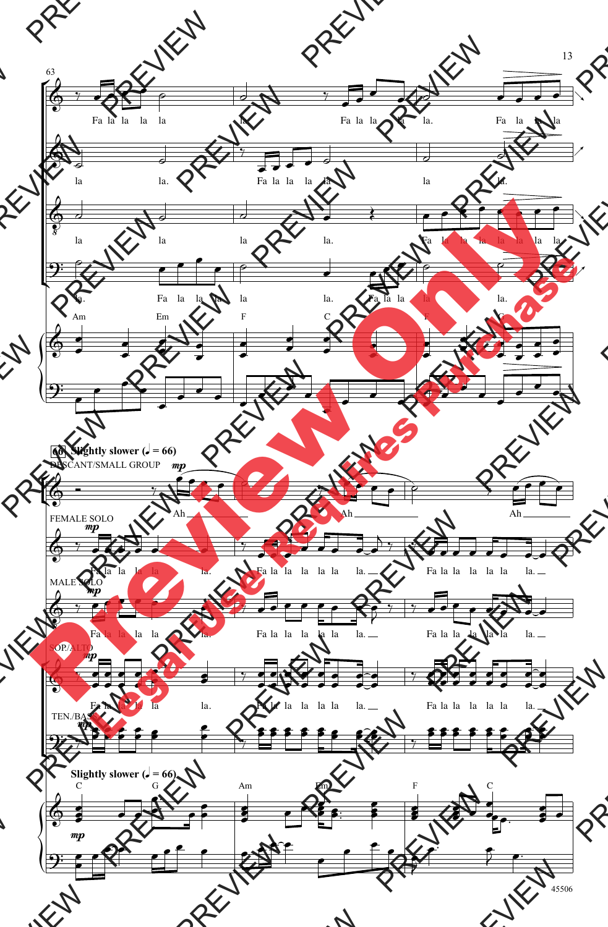![](_page_11_Figure_0.jpeg)

45506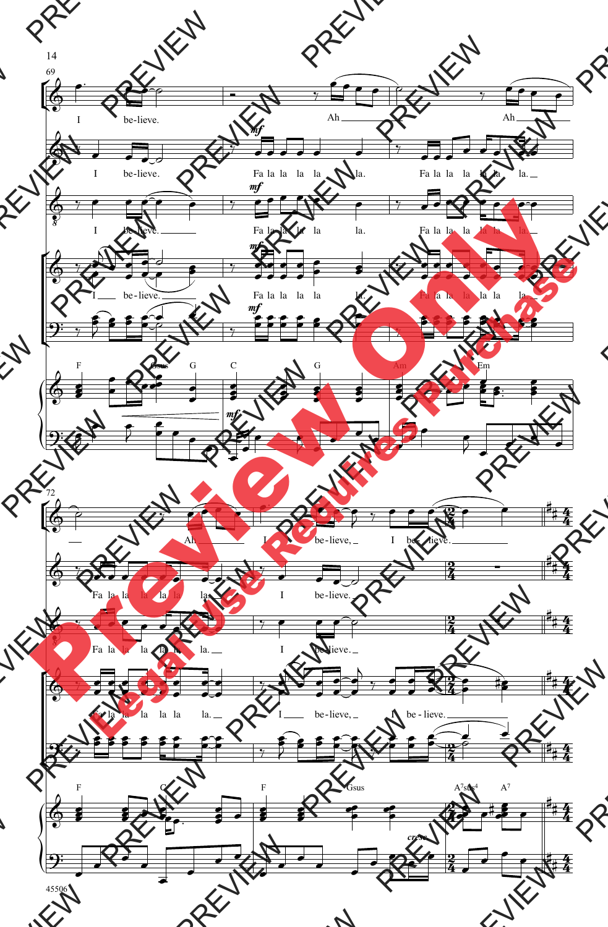![](_page_12_Figure_0.jpeg)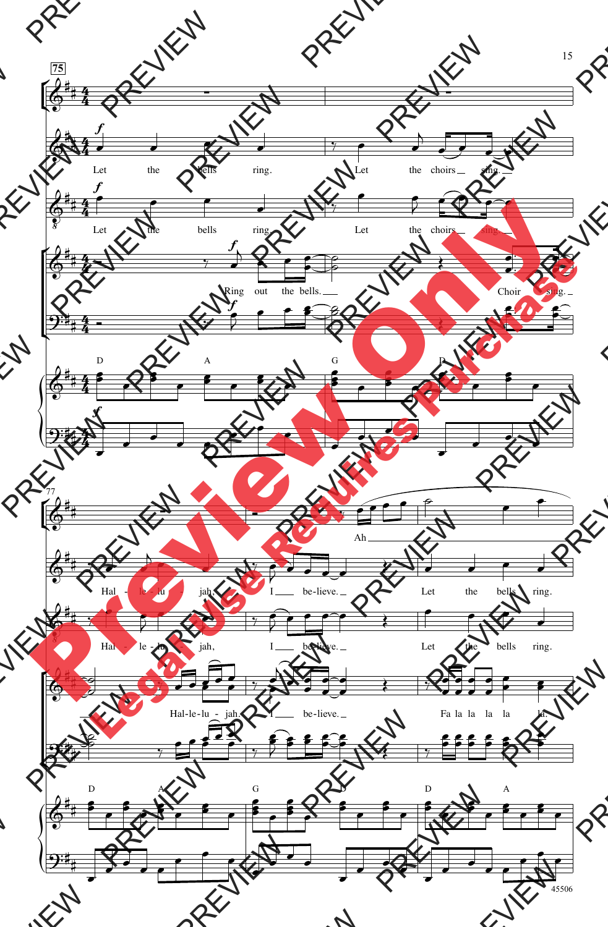![](_page_13_Figure_0.jpeg)

45506